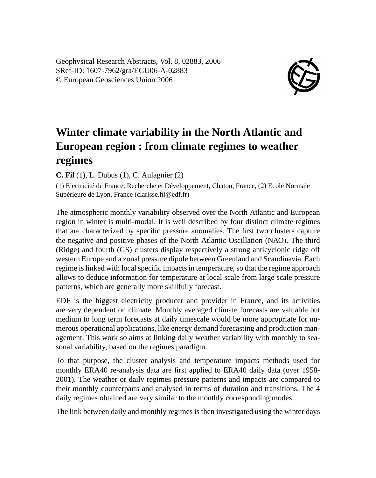Geophysical Research Abstracts, Vol. 8, 02883, 2006 SRef-ID: 1607-7962/gra/EGU06-A-02883 © European Geosciences Union 2006



## **Winter climate variability in the North Atlantic and European region : from climate regimes to weather regimes**

**C. Fil** (1), L. Dubus (1), C. Aulagnier (2)

(1) Electricité de France, Recherche et Développement, Chatou, France, (2) Ecole Normale Supérieure de Lyon, France (clarisse.fil@edf.fr)

The atmospheric monthly variability observed over the North Atlantic and European region in winter is multi-modal. It is well described by four distinct climate regimes that are characterized by specific pressure anomalies. The first two clusters capture the negative and positive phases of the North Atlantic Oscillation (NAO). The third (Ridge) and fourth (GS) clusters display respectively a strong anticyclonic ridge off western Europe and a zonal pressure dipole between Greenland and Scandinavia. Each regime is linked with local specific impacts in temperature, so that the regime approach allows to deduce information for temperature at local scale from large scale pressure patterns, which are generally more skillfully forecast.

EDF is the biggest electricity producer and provider in France, and its activities are very dependent on climate. Monthly averaged climate forecasts are valuable but medium to long term forecasts at daily timescale would be more appropriate for numerous operational applications, like energy demand forecasting and production management. This work so aims at linking daily weather variability with monthly to seasonal variability, based on the regimes paradigm.

To that purpose, the cluster analysis and temperature impacts methods used for monthly ERA40 re-analysis data are first applied to ERA40 daily data (over 1958- 2001). The weather or daily regimes pressure patterns and impacts are compared to their monthly counterparts and analysed in terms of duration and transitions. The 4 daily regimes obtained are very similar to the monthly corresponding modes.

The link between daily and monthly regimes is then investigated using the winter days